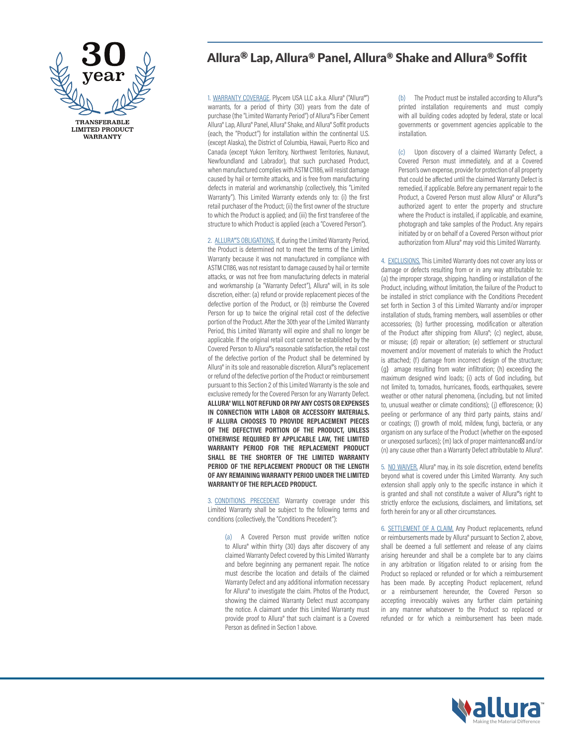

# Allura® Lap, Allura® Panel, Allura® Shake and Allura® Soffit

1. WARRANTY COVERAGE. Plycem USA LLC a.k.a. Allura® ("Allura®") warrants, for a period of thirty (30) years from the date of purchase (the "Limited Warranty Period") of Allura®'s Fiber Cement Allura® Lap, Allura® Panel, Allura® Shake, and Allura® Soffit products (each, the "Product") for installation within the continental U.S. (except Alaska), the District of Columbia, Hawaii, Puerto Rico and Canada (except Yukon Territory, Northwest Territories, Nunavut, Newfoundland and Labrador), that such purchased Product, when manufactured complies with ASTM C1186, will resist damage caused by hail or termite attacks, and is free from manufacturing defects in material and workmanship (collectively, this "Limited Warranty"). This Limited Warranty extends only to: (i) the first retail purchaser of the Product; (ii) the first owner of the structure to which the Product is applied; and (iii) the first transferee of the structure to which Product is applied (each a "Covered Person").

2. ALLURA®'S OBLIGATIONS. If, during the Limited Warranty Period, the Product is determined not to meet the terms of the Limited Warranty because it was not manufactured in compliance with ASTM C1186, was not resistant to damage caused by hail or termite attacks, or was not free from manufacturing defects in material and workmanship (a "Warranty Defect"), Allura® will, in its sole discretion, either: (a) refund or provide replacement pieces of the defective portion of the Product, or (b) reimburse the Covered Person for up to twice the original retail cost of the defective portion of the Product. After the 30th year of the Limited Warranty Period, this Limited Warranty will expire and shall no longer be applicable. If the original retail cost cannot be established by the Covered Person to Allura®'s reasonable satisfaction, the retail cost of the defective portion of the Product shall be determined by Allura® in its sole and reasonable discretion. Allura®'s replacement or refund of the defective portion of the Product or reimbursement pursuant to this Section 2 of this Limited Warranty is the sole and exclusive remedy for the Covered Person for any Warranty Defect. **ALLURA® WILL NOT REFUND OR PAY ANY COSTS OR EXPENSES IN CONNECTION WITH LABOR OR ACCESSORY MATERIALS. IF ALLURA CHOOSES TO PROVIDE REPLACEMENT PIECES OF THE DEFECTIVE PORTION OF THE PRODUCT, UNLESS OTHERWISE REQUIRED BY APPLICABLE LAW, THE LIMITED WARRANTY PERIOD FOR THE REPLACEMENT PRODUCT SHALL BE THE SHORTER OF THE LIMITED WARRANTY PERIOD OF THE REPLACEMENT PRODUCT OR THE LENGTH OF ANY REMAINING WARRANTY PERIOD UNDER THE LIMITED WARRANTY OF THE REPLACED PRODUCT.** 

3. CONDITIONS PRECEDENT. Warranty coverage under this Limited Warranty shall be subject to the following terms and conditions (collectively, the "Conditions Precedent"):

(a) A Covered Person must provide written notice to Allura® within thirty (30) days after discovery of any claimed Warranty Defect covered by this Limited Warranty and before beginning any permanent repair. The notice must describe the location and details of the claimed Warranty Defect and any additional information necessary for Allura® to investigate the claim. Photos of the Product, showing the claimed Warranty Defect must accompany the notice. A claimant under this Limited Warranty must provide proof to Allura® that such claimant is a Covered Person as defined in Section 1 above.

(b) The Product must be installed according to Allura®'s printed installation requirements and must comply with all building codes adopted by federal, state or local governments or government agencies applicable to the installation.

(c) Upon discovery of a claimed Warranty Defect, a Covered Person must immediately, and at a Covered Person's own expense, provide for protection of all property that could be affected until the claimed Warranty Defect is remedied, if applicable. Before any permanent repair to the Product, a Covered Person must allow Allura® or Allura®'s authorized agent to enter the property and structure where the Product is installed, if applicable, and examine, photograph and take samples of the Product. Any repairs initiated by or on behalf of a Covered Person without prior authorization from Allura® may void this Limited Warranty.

4. EXCLUSIONS. This Limited Warranty does not cover any loss or damage or defects resulting from or in any way attributable to: (a) the improper storage, shipping, handling or installation of the Product, including, without limitation, the failure of the Product to be installed in strict compliance with the Conditions Precedent set forth in Section 3 of this Limited Warranty and/or improper installation of studs, framing members, wall assemblies or other accessories; (b) further processing, modification or alteration of the Product after shipping from Allura®; (c) neglect, abuse, or misuse; (d) repair or alteration; (e) settlement or structural movement and/or movement of materials to which the Product is attached; (f) damage from incorrect design of the structure; (g) amage resulting from water infiltration; (h) exceeding the maximum designed wind loads; (i) acts of God including, but not limited to, tornados, hurricanes, floods, earthquakes, severe weather or other natural phenomena, (including, but not limited to, unusual weather or climate conditions); (j) efflorescence; (k) peeling or performance of any third party paints, stains and/ or coatings; (l) growth of mold, mildew, fungi, bacteria, or any organism on any surface of the Product (whether on the exposed or unexposed surfaces); (m) lack of proper maintenance; and/or (n) any cause other than a Warranty Defect attributable to Allura®.

5. NO WAIVER. Allura® may, in its sole discretion, extend benefits beyond what is covered under this Limited Warranty. Any such extension shall apply only to the specific instance in which it is granted and shall not constitute a waiver of Allura®'s right to strictly enforce the exclusions, disclaimers, and limitations, set forth herein for any or all other circumstances.

6. SETTLEMENT OF A CLAIM. Any Product replacements, refund or reimbursements made by Allura® pursuant to Section 2, above, shall be deemed a full settlement and release of any claims arising hereunder and shall be a complete bar to any claims in any arbitration or litigation related to or arising from the Product so replaced or refunded or for which a reimbursement has been made. By accepting Product replacement, refund or a reimbursement hereunder, the Covered Person so accepting irrevocably waives any further claim pertaining in any manner whatsoever to the Product so replaced or refunded or for which a reimbursement has been made.